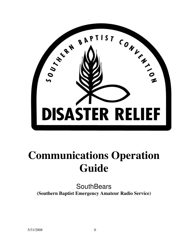

# **Communications Operation Guide**

**SouthBears (Southern Baptist Emergency Amateur Radio Service)**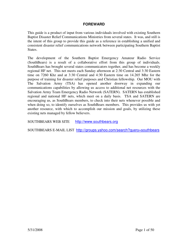#### **FOREWARD**

This guide is a product of input from various individuals involved with existing Southern Baptist Disaster Relief Communications Ministries from several states. It was, and still is the intent of this group to provide this guide as a reference in establishing a unified and consistent disaster relief communications network between participating Southern Baptist States.

The development of the Southern Baptist Emergency Amateur Radio Service (SouthBears) is a result of a collaborative effort from this group of individuals. SouthBears has brought several states communicators together, and has become a weekly regional HF net. This net meets each Sunday afternoon at 2:30 Central and 3:30 Eastern time on 7260 Khz and at 3:30 Central and 4:30 Eastern time on 14.265 Mhz for the purpose of training for disaster relief purposes and Christian fellowship. Our MOU with The Salvation Army (TSA) has opened another doorway in expanding our communications capabilities by allowing us access to additional net resources with the Salvation Army Team Emergency Radio Network (SATERN). SATERN has established regional and national HF nets, which meet on a daily basis. TSA and SATERN are encouraging us, as SouthBears members, to check into their nets whenever possible and when doing so, to identify ourselves as SouthBears members. This provides us with yet another resource, with which to accomplish our mission and goals, by utilizing these existing nets managed by fellow believers.

SOUTHBEARS WEB SITE http://www.southbears.org

SOUTHBEARS E-MAIL LIST http://groups.yahoo.com/search?query=southbears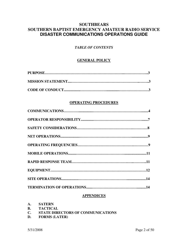## **SOUTHBEARS SOUTHERN BAPTIST EMERGENCY AMATEUR RADIO SERVICE DISASTER COMMUNICATIONS OPERATIONS GUIDE**

#### *TABLE OF CONTENTS*

#### **GENERAL POLICY**

#### **OPERATING PROCEDURES**

#### **APPENDICES**

- **A. SATERN**
- **B. TACTICAL**
- **C. STATE DIRECTORS OF COMMUNICATIONS**
- **D. FORMS (LATER)**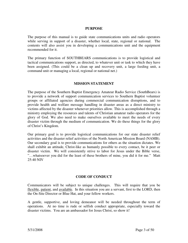#### **PURPOSE**

The purpose of this manual is to guide state communications units and radio operators while serving in support of a disaster, whether local, state, regional or national. The contents will also assist you in developing a communications unit and the equipment recommended for it.

The primary function of SOUTHBEARS communications is to provide logistical and tactical communications support, as directed, to whatever unit or task to which they have been assigned. (This could be a clean up and recovery unit, a large feeding unit, a command unit or managing a local, regional or national net.)

#### **MISSION STATEMENT**

The purpose of the Southern Baptist Emergency Amateur Radio Service (SouthBears) is to provide a network of support communication services to Southern Baptist volunteer groups or affiliated agencies during commercial communication disruptions, and to provide health and welfare message handling in disaster areas as a direct ministry to victims affected by the disaster whenever priorities allow. This is accomplished through a ministry employing the resources and talents of Christian amateur radio operators for the glory of God. We also need to make ourselves available to meet the needs of every disaster victim through the medium of communication. We do these things for the glory of Christ's Kingdom.

Our primary goal is to provide logistical communications for our state disaster relief activities and the disaster relief activities of the North American Mission Board (NAMB). Our secondary goal is to provide communications for others as the situation dictates. We shall exhibit an attitude, Christ-like as humanly possible to every contact, be it peer or disaster victim. We will consistently strive to labor for Jesus under the Bible verse, "…whatsoever you did for the least of these brothers of mine, you did it for me." Matt 25:40 NIV

#### **CODE OF CONDUCT**

Communicators will be subject to unique challenges. This will require that you be flexible, patient, and available. In this situation you are a servant, first to the LORD, then the On-Site Director or Blue Hat, and your fellow workers.

A gentle, supportive, and loving demeanor will be needed throughout the term of operations. At no time is rude or selfish conduct appropriate, especially toward the disaster victims. You are an ambassador for Jesus Christ, so show it!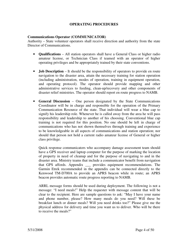#### **OPERATING PROCEDURES**

#### **Communications Operator (COMMUNICATOR)**

Authority – State volunteer operators shall receive direction and authority from the state Director of Communications.

- **Qualifications** All station operators shall have a General Class or higher radio amateur license, or Technician Class if teamed with an operator of higher operating privileges and be appropriately trained by their state conventions.
- **Job Description** It should be the responsibility of operators to provide en route navigation to the disaster area, attain the necessary training for station operation (including administration, modes of operation, training in equipment operation, and operating protocol). The operator should provide mapping and other administrative services to feeding, clean-up/recovery and other components of disaster relief ministries. The operator should report en route progress to NAMB.
- **General Discussion** One person designated by the State Communications Coordinator will be in charge and responsible for the operation of the Primary Communication Resource of the state. That individual will wear a blue cap to signify his leadership role. Whenever he is called away from the area he will pass responsibility and leadership to another of his choosing. Conventional blue cap training is not required for this position. No one should be left in charge of communications who has not shown themselves through training and experience to be knowledgeable in all aspects of communications and station operation; nor should that person not hold a current radio amateur license of General or higher class privilege.

Quick response communicators who accompany damage assessment team should have a GPS receiver and laptop computer for the purpose of marking the location of property in need of cleanup and for the purpose of navigating to and in the disaster area. Ministry teams that include a communicator benefit from navigation that GPS affords. Appendix \_\_\_ provides equipment recommendations. The Garmin Etrek recommended in the appendix can be connected directly to the Kenwood TM-D700A to provide an APRS beacon while in route; an APRS beacon provides automatic route progress reporting to NAMB.

ARRL message forms should be used during deployment. The following is not a message: "I need meals!" Help the requester with message content that will be clear to the recipient. Here are sample questions to ask: "May I have your name and phone number, please? How many meals do you need? Will these be breakfast lunch or dinner meals? Will you need drinks too?" Please give me the physical address for delivery and time you want us to deliver. Who will be there to receive the meals?"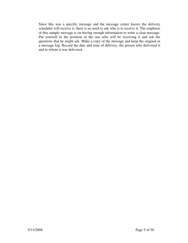Since this was a specific message and the message center knows the delivery scheduler will receive it, there is no need to ask who is to receive it. The emphasis of this sample message is on having enough information to write a clear message. Put yourself in the position of the one who will be receiving it and ask the questions that he might ask. Make a copy of the message and keep the original in a message log. Record the date and time of delivery, the person who delivered it and to whom it was delivered.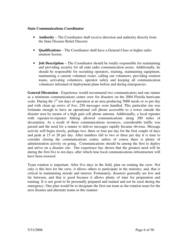#### **State Communications Coordinator**

- **Authority** The Coordinator shall receive direction and authority directly from the State Disaster Relief Director.
- **Qualifications** The Coordinator shall have a General Class or higher radio amateur license.
- **Job Description** The Coordinator should be totally responsible for maintaining and providing security for all state radio communication assets. Additionally, he should be responsible for recruiting operators, training, maintaining equipment, maintaining a current volunteer roster, calling out volunteers, providing rotation teams, activating volunteers, operator safety and keeping all communication volunteers informed of deployment plans before and during emergencies.

**General Discussion** - Experience would recommend two communicators and one runner as a minimum communications center crew for disasters on the 2004 Florida hurricane scale. During the  $1<sup>st</sup>$  ten days of operation at an area producing 5000 meals or so per day and with clean up crews of five, 250 messages were handled. This particular site was fortunate enough to have an operational cell phone accessible to a tower outside the disaster area by means of a high gain cell phone antenna. Additionally, a local repeater with repeater-to-repeater linking allowed communications along 200 miles of devastation. As a result of these communications resources, considerable traffic was passed and the need for a runner to deliver messages rapidly became obvious. Message activity will begin slowly, perhaps two, three or four per day for the first couple of days and peak at 15 or 20 per day. After numbers fall to two or three per day it is time to consider closing the communications center, unless of course there is plenty of administration activity on going. Communications should be among the first to deploy and arrive on a disaster site. Our experience has shown that the greatest need will be during the first five to ten days, after which time local communications infrastructure will have been restored.

Team rotation is important. After five days in the field, plan on rotating the crew. Not only is this best for the crew, it allows others to participate in the ministry; and, that is critical in maintaining morale and interest. Fortunately, disasters generally are few and far between, and that is good because it allows plenty of time for preparation and training. It is not good to be personally prepared and trained and not be used during the emergency. One plan would be to designate the first-out team as the rotation team for the next disaster and alternate teams in this manner.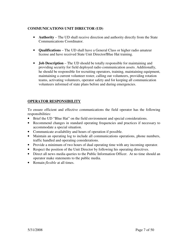#### **COMMUNICATIONS UNIT DIRECTOR (UD)**

- **Authority** The UD shall receive direction and authority directly from the State Communications Coordinator.
- **Qualifications** The UD shall have a General Class or higher radio amateur license and have received State Unit Director/Blue Hat training.
- **Job Description** The UD should be totally responsible for maintaining and providing security for field deployed radio communication assets. Additionally, he should be responsible for recruiting operators, training, maintaining equipment, maintaining a current volunteer roster, calling out volunteers, providing rotation teams, activating volunteers, operator safety and for keeping all communication volunteers informed of state plans before and during emergencies.

#### **OPERATOR RESPONSIBILITY**

To ensure efficient and effective communications the field operator has the following responsibilities:

- Brief the UD "Blue Hat" on the field environment and special considerations.
- Recommend changes in standard operating frequencies and practices if necessary to accommodate a special situation.
- Communicate availability and hours of operation if possible.
- Maintain an operating log to include all communications operations, phone numbers, traffic handled and operating considerations.
- Provide a minimum of two hours of dual operating time with any incoming operator.
- Respect the position of the Unit Director by following his operating directives.
- Direct all news media queries to the Public Information Officer. At no time should an operator make statements to the public media.
- Remain *flexible* at all times.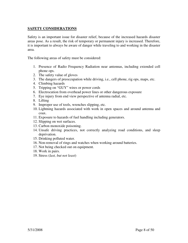#### **SAFETY CONSIDERATIONS**

Safety is an important issue for disaster relief, because of the increased hazards disaster areas pose. As a result, the risk of temporary or permanent injury is increased. Therefore, it is important to always be aware of danger while traveling to and working in the disaster area.

The following areas of safety must be considered:

- 1. Presence of Radio Frequency Radiation near antennas, including extended cell phone ops.
- 2. The safety value of gloves
- 3. The dangers of preoccupation while driving, i.e., cell phone, rig ops, maps, etc.
- 4. Climbing hazards
- 5. Tripping on "GUY" wires or power cords
- 6. Electrocution from overhead power lines or other dangerous exposure
- 7. Eye injury from end view perspective of antenna radial, etc.
- 8. Lifting
- 9. Improper use of tools, wrenches slipping, etc.
- 10. Lightning hazards associated with work in open spaces and around antenna and coax.
- 11. Exposure to hazards of fuel handling including generators.
- 12. Slipping on wet surfaces.
- 13. Carbon monoxide poisoning.
- 14. Unsafe driving practices, not correctly analyzing road conditions, and sleep deprivation.
- 15. Drinking polluted water.
- 16. Non-removal of rings and watches when working around batteries.
- 17. Not being checked out on equipment.
- 18. Work in pairs.
- 19. Stress (*last, but not least*)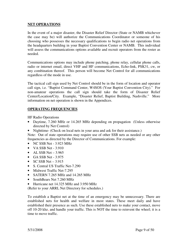#### **NET OPERATIONS**

In the event of a major disaster, the Disaster Relief Director (State or NAMB whichever the case may be) will authorize the Communications Coordinator or someone of his choosing who possesses the necessary qualifications to begin radio net operations from the headquarters building in your Baptist Convention Center or NAMB. This individual will assess the communications options available and recruit operators from the roster as needed.

Communications options may include phone patching, phone relay, cellular phone calls, radio or internet email, direct VHF and HF communications, Echo-link, PSK31, cw, or any combination thereof. This person will become Net Control for all communications regardless of the mode in use.

The tactical call sign used by Net Control should be in the form of location and operator call sign, i.e. "Baptist Command Center, W4SOS (Your Baptist Convention City)." For non-amateur operations the call sign should take the form of Disaster Relief Center/Location/City. Example, "Disaster Relief, Baptist Building, Nashville." More information on net operation is shown in the Appendices.

#### **OPERATING FREQUENCIES**

HF Radio Operations

- Daytime, 7.260 MHz or 14.265 MHz depending on propagation (Unless otherwise directed by Net Control)
- Nighttime- (Check on local nets in your area and ask for their assistance.)

Note: Out of state operations may require use of other SSB nets as needed or any other frequencies as directed by the Director of Communications. For example:

- NC SSB Net 3.923 MHz
- VA SSB Net 3.910
- AL SSB Net  $-3.965$
- $\bullet$  GA SSB Net 3.975
- SC SSB Net  $-3.915$
- S. Central US Traffic Net-7.290
- Midwest Traffic Net-7.295
- SATERN 7.265 MHz and 14.265 MHz
- SouthBears Net 7.260 MHz
- Hurricane net 14.325 MHz and 3.950 MHz

(Refer to your ARRL Net Directory for schedules.)

To establish a Baptist net at the time of an emergency may be unnecessary. There are established nets for health and welfare in most states. These meet daily and have established their presence as such. Use these established nets to make your contact, move off 10-20 khz, and handle your traffic. This is NOT the time to reinvent the wheel; it is a time to move traffic.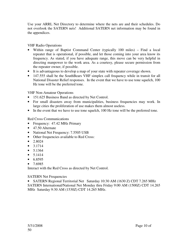Use your ARRL Net Directory to determine where the nets are and their schedules. Do not overlook the SATERN nets! Additional SATERN net information may be found in the appendices.

#### VHF Radio Operations

- Within range of Baptist Command Center (typically 100 miles) Find a local repeater that is operational, if possible, and let those coming into your area know its frequency. As stated, if you have adequate range, this move can be very helpful in directing manpower to the work area. As a courtesy, please secure permission from the repeater owner, if possible.
- It is advantageous to develop a map of your state with repeater coverage shown.
- 147.555 shall be the SouthBears VHF simplex call frequency while in transit for all National Disaster Relief responses. In the event that we have to use tone squelch, 100 Hz tone will be the preferred tone.

#### VHF Non-Amateur Operations

- 151.625 Business Band as directed by Net Control.
- For small disasters away from municipalities, business frequencies may work. In large cities the proliferation of use makes them almost useless.
- In the event that we have to use tone squelch, 100 Hz tone will be the preferred tone.

#### Red Cross Communications

- Frequency: 47.42 MHz Primary
- 47.50 Alternate
- National Net Frequency: 7.5505 USB
- Other frequencies available to Red Cross:
- $2.8024$
- $3.1714$
- 5.1364
- $5.1414$
- $6.8595$
- 7.6985

Interact with the Red Cross as directed by Net Control.

#### SATERN Net Frequencies

• SATERN Regional Territorial Net Saturday 10:30 AM (1630 Z) CDT 7.265 MHz SATERN International/National Net Monday thru Friday 9:00 AM (1500Z) CDT 14.265 MHz Saturday 9:30 AM (1530Z) CDT 14.265 MHz.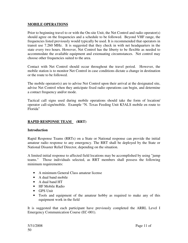#### **MOBILE OPERATIONS**

Prior to beginning travel to or with the On-site Unit, the Net Control and radio operator(s) should agree on the frequencies and a schedule to be followed. Beyond VHF range, the frequencies listed previously would typically be used. It is recommended that operators in transit use 7.260 MHz. It is suggested that they check in with net headquarters in the state every two hours. However, Net Control has the liberty to be flexible as needed to accommodate the available equipment and extenuating circumstances. Net control may choose other frequencies suited to the area.

Contact with Net Control should occur throughout the travel period. However, the mobile station is to monitor Net Control in case conditions dictate a change in destination or the route to be followed.

The mobile operator(s) are to advise Net Control upon their arrival at the designated site, advise Net Control when they anticipate fixed radio operations can begin, and determine a contact frequency and/or mode.

Tactical call signs used during mobile operations should take the form of location/ operator call-sign/mobile. Example "N. Texas Feeding Unit K5ALS mobile en route to Florida"

#### **RAPID RESPONSE TEAM (RRT)**

#### **Introduction**

Rapid Response Teams (RRTs) on a State or National response can provide the initial amateur radio response to any emergency. The RRT shall be deployed by the State or National Disaster Relief Director, depending on the situation.

A limited initial response to affected field locations may be accomplished by using "jump teams." Those individuals selected, as RRT members shall possess the following minimum requirements:

- A minimum General Class amateur license
- A dual band mobile
- A dual band HT
- HF Mobile Radio
- GPS Unit
- Tools and equipment of the amateur hobby as required to make any of this equipment work in the field

It is suggested that each participant have previously completed the ARRL Level I Emergency Communication Course (EC-001).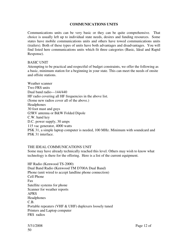#### **COMMUNICATIONS UNITS**

Communications units can be very basic or they can be quite comprehensive. That choice is usually left up to individual state needs, desires and funding resources. Some states have mobile communications units and others have towed communications units (trailers). Both of these types of units have both advantages and disadvantages. You will find listed here communications units which fit three categories (Basic, Ideal and Rapid Response).

#### BASIC UNIT

Attempting to be practical and respectful of budget constraints, we offer the following as a basic, minimum station for a beginning in your state. This can meet the needs of onsite and offsite stations.

Weather scanner Two FRS units Dual band radio—144/440 HF radio covering all HF frequencies in the above list. (Some new radios cover all of the above.) Headphones 30 foot mast and guys G5RV antenna or B&W Folded Dipole C.W. hand key D.C. power supply, 30 amps 115 vac generator, 4000 watts PSK 31, a simple laptop computer is needed, 100 MHz. Minimum with soundcard and PSK 31 interface.

#### THE IDEAL COMMUNICATIONS UNIT

Some may have already technically reached this level. Others may wish to know what technology is there for the offering. Here is a list of the current equipment.

HF Radio (Kenwood TS-2000) Dual Band Radio (Kenwood TM D700A Dual Band) Phone (unit wired to accept landline phone connection) Cell Phone Fax Satellite systems for phone Scanner for weather reports APRS Headphones C.B. Portable repeaters (VHF & UHF) duplexers loosely tuned Printers and Laptop computer FRS radios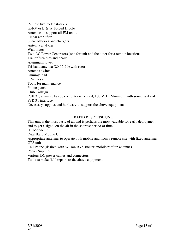Remote two meter stations G5RV or B & W Folded Dipole Antennas to support all FM units. Linear amplifier. Spare batteries and chargers Antenna analyzer Watt meter Two AC Power Generators (one for unit and the other for a remote location) Trailer/furniture and chairs Aluminum tower Tri-band antenna (20-15-10) with rotor Antenna switch Dummy load C.W. keys Tools for maintenance Phone patch Club Callsign PSK 31, a simple laptop computer is needed, 100 MHz. Minimum with soundcard and PSK 31 interface. Necessary supplies and hardware to support the above equipment

#### RAPID RESPONSE UNIT

This unit is the most basic of all and is perhaps the most valuable for early deployment and to get a signal on the air in the shortest period of time. HF Mobile unit Dual Band Mobile Unit Appropriate antennas to operate both mobile and from a remote site with fixed antennas GPS unit Cell Phone (desired with Wilson RV/Trucker, mobile rooftop antenna) Power Supplies Various DC power cables and connectors Tools to make field repairs to the above equipment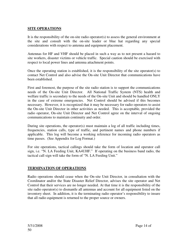#### **SITE OPERATIONS**

It is the responsibility of the on-site radio operator(s) to assess the general environment at the site and consult with the on-site leader or blue hat regarding any special considerations with respect to antenna and equipment placement.

Antennas for HF and VHF should be placed in such a way as to not present a hazard to site workers, disaster victims or vehicle traffic. Special caution should be exercised with respect to local power lines and antenna attachment points.

Once the operating station is established, it is the responsibility of the site operator(s) to contact Net Control and also advise the On-site Unit Director that communications have been established.

First and foremost, the purpose of the site radio station is to support the communications needs of the On-site Unit Director. All National Traffic System (NTS) health and welfare traffic is secondary to the needs of the On-site Unit and should be handled ONLY in the case of extreme emergencies. Net Control should be advised if this becomes necessary. However, it is recognized that it may be necessary for radio operators to assist the On-site Unit Director in other activities as needed. This is acceptable, provided the radio operator, On-site Unit Director and Net Control agree on the interval of ongoing communications to maintain continuity and order.

During site operations, the operator(s) must maintain a log of all traffic including times, frequencies, station calls, type of traffic, and pertinent names and phone numbers if applicable. This log will become a working reference for incoming radio operators as time passes. (See Appendix for Log Format.)

For site operations, tactical callings should take the form of location and operator call sign, i.e. "N. LA Feeding Unit, KA4UHF." If operating on the business band radio, the tactical call sign will take the form of "N. LA Feeding Unit."

#### **TERMINATION OF OPERATIONS**

Radio operations should cease when the On-site Unit Director, in consultation with the Coordinator and/or the State Disaster Relief Director, advises the site operator and Net Control that their services are no longer needed. At that time it is the responsibility of the site radio operator(s) to dismantle all antennas and account for all equipment listed on the inventory sheet. In addition, it is the terminating radio operator's responsibility to insure that all radio equipment is returned to the proper source or owners.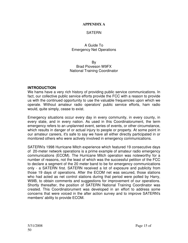#### **APPENDIX A**

#### SATERN

#### A Guide To Emergency Net Operations

By Brad Pioveson W9FX National Training Coordinator

#### **INTRODUCTION**

We hams have a very rich history of providing public service communications. In fact, our collective public service efforts provide the FCC with a reason to provide us with the continued opportunity to use the valuable frequencies upon which we operate. Without amateur radio operators' public service efforts, ham radio would, quite simply, cease to exist.

Emergency situations occur every day in every community, in every county, in every state, and in every nation. As used in this Coordinatorument, the term emergency refers to an unplanned event, series of events, or other circumstance, which results in danger of or actual injury to people or property. At some point in our amateur careers, it's safe to say we have all either directly participated in or monitored others who were actively involved in emergency communications.

SATERN's 1998 Hurricane Mitch experience which featured 19 consecutive days of 20-meter network operations is a prime example of amateur radio emergency communications (ECOM). The Hurricane Mitch operation was noteworthy for a number of reasons, not the least of which was the successful petition of the FCC to declare a segment of the 20 meter band to be for emergency communications only - a SATERN first. SATERN received a lot of exposure and publicity from those 19 days of operations. After the ECOM net was secured, those stations who had acted as net control stations during that period were polled by Harry, W9IB, to obtain comments and suggestions for improvement of our operations. Shortly thereafter, the position of SATERN National Training Coordinator was created. This Coordinatorument was developed in an effort to address some concerns that were voiced in the after action survey and to improve SATERN's members' ability to provide ECOM.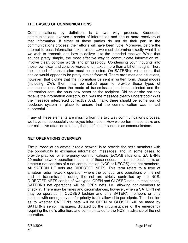## **THE BASICS OF COMMUNICATIONS**

Communications, by definition, is a two way process. Successful communications involves a sender of information and one or more receivers of that information. If either of these parties do not do their part in the communications process, their efforts will have been futile. Moreover, before the attempt to pass information takes place, ...we must determine exactly what it is we wish to transmit, and how to deliver it to the intended receiver. While that sounds pretty simple, the most effective way to communicate information will involve clear, concise words and phraseology. Condensing your thoughts into those few, clear and concise words, often takes more than a bit of thought. Then, the method of transmission must be selected. On SATERN's voice nets, that choice would appear to be pretty straightforward. There are times and situations, however, that dictate that the information be sent in written form. Digital modes (including CW), then, may be called upon to provide those types of communications. Once the mode of transmission has been selected and the information sent, the onus now bears on the recipient. Did he or she not only receive the information correctly, but, was the message clearly understood? Was the message interpreted correctly? And, finally, there should be some sort of feedback system in place to ensure that the communication was in fact successful.

If any of these elements are missing from the two way communications process, we have not successfully conveyed information. How we perform these tasks and our collective attention to detail, then, define our success as communicators.

#### **NET OPERATIONS OVERVIEW**

The purpose of an amateur radio network is to provide the net's members with the opportunity to exchange information, messages, and, in some cases, to provide practice for emergency communications (ECOM) situations. SATERN's 20-meter network operation meets all of these needs. In it's most basic form, an amateur net consists of a net control station (NCS or NECOS) and net members. All SATERN HF nets are DIRECTED NETS. This term refers to a type of amateur radio network operation where the conduct and operations of the net and all transmissions during the net are strictly controlled by the NCS. DIRECTED NETS can be of two types: OPEN and CLOSED nets. In most cases, SATERN's net operations will be OPEN nets, i.e., allowing non-members to check in. There may be times and circumstances, however, when a SATERN net may be operated in CLOSED fashion and only SATERN members or only stations with emergency and/or priority traffic allowed to participate. The decision as to whether SATERN's nets will be OPEN or CLOSED will be made by SATERN's senior managers, dictated by the circumstances of the emergency requiring the net's attention, and communicated to the NCS in advance of the net operation.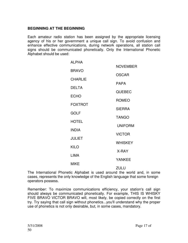#### **BEGINNING AT THE BEGINNING**

Each amateur radio station has been assigned by the appropriate licensing agency of his or her government a unique call sign. To avoid confusion and enhance effective communications, during network operations, all station call signs should be communicated phonetically. Only the International Phonetic Alphabet should be used:

| <b>ALPHA</b>   |                 |
|----------------|-----------------|
|                | <b>NOVEMBER</b> |
| <b>BRAVO</b>   | <b>OSCAR</b>    |
| <b>CHARLIE</b> | <b>PAPA</b>     |
| <b>DELTA</b>   |                 |
| <b>ECHO</b>    | <b>QUEBEC</b>   |
| <b>FOXTROT</b> | <b>ROMEO</b>    |
|                | <b>SIERRA</b>   |
| <b>GOLF</b>    | <b>TANGO</b>    |
| <b>HOTEL</b>   | <b>UNIFORM</b>  |
| <b>INDIA</b>   | <b>VICTOR</b>   |
| <b>JULIET</b>  |                 |
| <b>KILO</b>    | <b>WHISKEY</b>  |
| <b>LIMA</b>    | X-RAY           |
|                | <b>YANKEE</b>   |
| <b>MIKE</b>    | <b>ZULU</b>     |

The International Phonetic Alphabet is used around the world and, in some cases, represents the only knowledge of the English language that some foreign operators possess.

Remember: To maximize communications efficiency, your station's call sign should always be communicated phonetically. For example, THIS IS WHISKY FIVE BRAVO VICTOR BRAVO will, most likely, be copied correctly on the first try. Try saying that call sign without phonetics...you'll understand why the proper use of phonetics is not only desirable, but, in some cases, mandatory.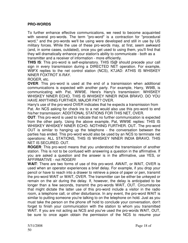#### **PRO-WORDS**

To further enhance effective communications, we need to become acquainted with several pro-words. The term "pro-word" is a contraction for "procedural word," and the pro-words we'll be using were developed and still in use by US military forces. While the use of these pro-words may, at first, seem awkward (and, in some cases, outdated), once you get used to using them, you'll find that they will dramatically enhance your station's ability to communicate - both as a transmitter and a receiver of information - more efficiently.

**THIS IS**: This pro-word is self-explanatory. THIS IS@ should precede your call sign in every transmission during a DIRECTED NET operation. For example, W9FX replies to the net control station (NCS), K7JAD: ATHIS IS WHISKEY NINER FOXTROT X-RAY.

ROGER, etc.

**OVER**: This pro-word is used at the end of a transmission when additional communications is expected with another party. For example, Harry, W9IB, is communicating with Pat, WW9E. Here's Harry's transmission: WHISKEY WHISKEY NINER ECHO, THIS IS WHISKEY NINER INDIA BRAVO. DO YOU HAVE ANYTHING FURTHER, MAJOR PAT? OVER.

Harry's use of the pro-word OVER indicates that he expects a transmission from Pat. An NCS asking for check ins to a net would also use this pro-word to end his/her transmission: ADDITIONAL STATIONS FOR THIS NET, OVER.

**OUT**: This pro-word is used to indicate that no further communication is expected from the other party. Using the above example, Pat, WW9E replies: THIS IS WHISKEY WHISKEY NINER ECHO. NOTHING FURTHER. OUT. The pro-word OUT is similar to hanging up the telephone - the conversation between the parties has ended. This pro-word would also be used by an NCS to terminate net operations: ALL STATIONS, THIS IS WHISKEY NINER INDIA BRAVO. THIS NET IS SECURED. OUT.

**ROGER**: This pro-word means that you understood the transmission of another station. This is not to be confused with answering a question in the affirmative. If you are asked a question and the answer is in the affirmative, use YES, or AFFIRMATIVE - not ROGER!

**WAIT**: There are two forms of use of this pro-word. AWAIT, or WAIT, OVER is used when an operator experiences a brief delay. For example, if you drop your pencil or have to reach into a drawer to retrieve a piece of paper or pen, transmit the pro-word WAIT or WAIT, OVER. The transmitter can be either be unkeyed or remain on the air during the delay. If, however, the delay is anticipated to be longer than a few seconds, transmit the pro-words WAIT, OUT. Circumstance that might dictate the latter use of this pro-word include a visitor in the radio room, a telephone call, or other disturbance. In any event, the pro-word WAIT is similar to putting someone you're talking to on the telephone on hold. Just as you must take the person on the phone off hold to conclude your conversation, don't forget to finish your communication with the station to whom you transmitted WAIT. If you are not acting as NCS and you've used the pro-words WAIT, OUT, be sure to once again obtain the permission of the NCS to resume your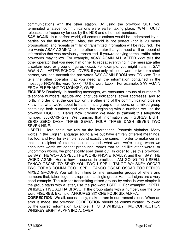communications with the other station. By using the pro-word OUT, you terminated whatever communications were earlier taking place. "WAIT, OUT," releases the frequency for use by the NCS and other net members.

**SAY AGAIN:** In a perfect world, all communications would be understood by all parties on the first attempt. Alas, the world is not perfect (nor is 20 meter propagation), and repeats or "fills" of transmitted information will be required. The pro-words ASAY AGAIN@ tell the other operator that you need a fill or repeat of information that was previously transmitted. If you=re copying formal traffic, other pro-words may follow. For example, ASAY AGAIN ALL AFTER xxxx tells the other operator that you need him or her to repeat everything in the message after a certain word or group of figures (xxxx). For example, you might transmit SAY AGAIN ALL AFTER SCHOOL, OVER. If you only missed a word or two or a short phrase, you can transmit the pro-words SAY AGAIN FROM xxxx TO xxxx. This tells the other operator that you need all the information contained in the message FROM the word (xxxx) TO the word (xxxx). For example, SAY AGAIN FROM ELEPHANT TO MONKEY, OVER.

**FIGURES**: Routinely, in handling messages, we encounter groups of numbers B telephone numbers, latitude and longitude indications, street addresses, and so forth. In order to let the operator on the other end of the communication pipeline know that what we're about to transmit is a group of numbers, or, a mixed group containing both numbers and letters but beginning with a number, we use the pro-word FIGURES. Here's how it works: We need to transmit this telephone number: 800-3743-7279. We transmit that information as FIGURES EIGHT ZERO ZERO DASH THREE SEVEN FOUR THREE DASH SEVEN TWO SEVEN NINE.

**I SPELL:** Here again, we rely on the International Phonetic Alphabet. Many words in the English language sound alike but have entirely different meanings. To, too, and two, for example, sound exactly the same. In order to make certain that the recipient of information understands what word we're using, when we encounter words we cannot pronounce, words that sound like other words, or uncommon words, we phonetically spell them out. In order to use this pro-word, we SAY THE WORD, SPELL THE WORD PHONETICALLY, and then, SAY THE WORD AGAIN. Here's how it sounds in practice: I AM GOING TO I SPELL TANGO OSCAR TO SEND YOU TWO I SPELL TANGO WHISKEY OSCAR TWO FORMS COMMA TOO I SPELL TANGO OSCAR OSCAR TOO PERIOD MIXED GROUPS: You will, from time to time, encounter groups of letters and numbers that, taken together, represent a single group. Ham call signs are a very good example. The rule for transmitting mixed groups by voice is very simple: If the group starts with a letter, use the pro-word I SPELL. For example: I SPELL WHISKEY FIVE ALPHA BRAVO. If the group starts with a number, use the proword FIGURES. Example: AFIGURES SIX ONE FOUR SIX ALPHA.

**CORRECTION**: We all, occasionally, make errors in our transmissions. When an error is made, the pro-word CORRECTION should be communicated, followed by the correct information. Example: THIS IS WHISKEY FIVE CORRECTION WHISKEY EIGHT ALPHA INDIA. OVER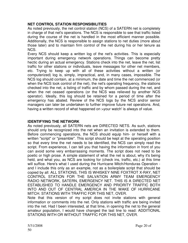#### **NET CONTROL STATION RESPONSIBILITIES**

As noted previously, the net control station (NCS) of a SATERN net is completely in charge of that net's operations. The NCS is responsible to see that traffic listed during the course of the net is handled in the most efficient manner possible. Additionally, the NCS is responsible to assign stations to net duties (more about those later) and to maintain firm control of the net during his or her tenure as NCS.

Every NCS should keep a written log of the net's activities. This is especially important during emergency network operations. Things can become pretty hectic during an actual emergency. Stations check into the net, leave the net, list traffic for other stations or individuals, leave messages for other net members, etc. Trying to keep up with all of these activities without a written (or computerized) log is, simply, impractical, and, in many cases, impossible. The NCS log should contain, at a minimum, the date and time the net commenced (or when the NCS took control of the net), the net's operating frequency, the stations checked into the net, a listing of traffic and by whom passed during the net, and when the net ceased operations (or the NCS was relieved by another NCS operator). Ideally, this log should be retained for a period of time after the emergency has abated. Review of the NCS logs by the NCS and/or senior managers can later be undertaken to further improve future net operations. And, having a written record of what happened on >your watch' is always of value.

## **IDENTIFYING THE NETWORK**

As noted previously, all SATERN nets are DIRECTED NETS. As such, stations should only be recognized into the net when an invitation is extended to them. Before commencing operations, the NCS should equip him- or herself with a written "script" or "preamble". This script should be kept at the operating position so that every time the net needs to be identified, the NCS can simply read the script. From experience, I can tell you that having the information in front of you can avoid some very embarrassing moments. The script does not need to be poetic or high prose. A simple statement of what the net is about, why it's being held, and what you, as NCS are looking for (check ins, traffic, etc.) at this time will suffice. Here's what I used during the Hurricane Mitch/Honduras Operation and I include this only as an example, not as a boilerplate script that should be copied by all: ALL STATIONS, THIS IS WHISKEY NINE FOXTROT X-RAY, NET CONTROL STATION FOR THE SALVATION ARMY TEAM EMERGENCY RADIO NETWORK, SATERN, EMERGENCY NET. THIS IS A DIRECTED NET ESTABLISHED TO HANDLE EMERGENCY AND PRIORITY TRAFFIC BOTH INTO AND OUT OF CENTRAL AMERICA IN THE WAKE OF HURRICANE MITCH. STATIONS WITH TRAFFIC FOR THIS NET, OVER.

Note that this version of my script does not invite stations with general information or comments into the net. Only stations with traffic are being invited into the net. Had I been interested, at that time, in opening the net to the general amateur population, I would have changed the last line to read: ADDITIONAL STATIONS WITH OR WITHOUT TRAFFIC FOR THIS NET, OVER.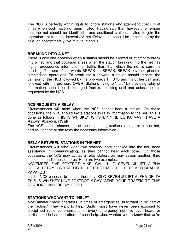The NCS is perfectly within rights to ignore stations who attempt to check in at times when such have not been invited. Having said that, however, remember that the net should be identified - and additional stations invited to join the operation - at frequent intervals. A net ID/invitation should be transmitted by the NCS on approximately five-minute intervals.

#### **BREAKING INTO A NET**

There is only one occasion when a station should be allowed or attempt to break into a net, and that occasion arises when the station breaking into the net has higher precedence information or traffic than that which the net is currently handling. The use of the words BREAK or, BREAK, BREAK have no place in directed net operations. To break into a network, a station should transmit the call sign of the NCS followed by the pro-words THIS IS and his or her call sign, followed with the pro-word OVER. Stations trying to "help" by providing relay of information should be discouraged from transmitting until and unless help is requested by the NCS.

#### **NCS REQUESTS A RELAY**

Circumstances will arise when the NCS cannot hear a station. On those occasions, the NCS should invite stations to relay information to the net. This is done as follows: THIS IS WHISKEY WHISKEY NINE ECHO. MAY I HAVE A RELAY, PLEASE. OVER

The NCS should choose one of the responding stations, recognize him or her, and ask that he or she relay the necessary information.

#### **RELAY BETWEEN STATIONS IN THE NET**

Circumstances will arise when two stations, both checked into the net, need assistance in communicating, as they cannot hear each other. On those occasions, the NCS may act as a relay station, or, may assign another, third station to handle those chores. Here are two examples:

NOVEMBER FIVE FOXTROT MIKE, CALL KILO SEVEN JULIET ALPHA DELTA. RELAY HIS TRAFFIC TO HOTEL ROMEO EIGHT ROMEO CHARLIE PAPA. OUT

or, the NCS chooses to handle the relay: KILO SEVEN JULIET ALPHA DELTA THIS IS WHISKEY NINE FOXTROT X-RAY. SEND YOUR TRAFFIC TO THIS STATION. I WILL RELAY. OVER

#### **STATIONS WHO WANT TO "HELP"**

Most amateur radio operators, in times of emergencies, truly want to be part of the "action." They want to help. Sadly, most have never been exposed to disciplined radio communications. Every emergency net I've ever heard or participated in has had offers of such help...Just wanted you to know that we're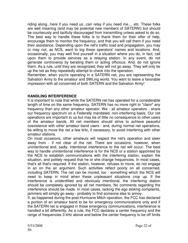riding along...here if you need us...can relay if you need me..., etc. These folks are well meaning (and may be potential new members of SATERN!) but should be courteously and tactfully discouraged from transmitting unless asked to do so. The best way to handle these folks is to thank them for their offer of help, encourage them to monitor the frequency, and that you will call them if you need their assistance. Depending upon the net's traffic load and propagation, you may or may not, as NCS, want to log these operators' names and locations. And, occasionally, you may well find yourself in a situation where you do, in fact, call upon them to provide services as a relaying station. In any event, do not generate controversy by berating them or acting officious. And, do not ignore them. As a rule, until they are recognized, they will not go away. They will only tie up the net as they repeatedly attempt to check into the operation.

Remember, when you're operating in a SATERN net, you are representing the Salvation Army to the amateur and SWLing world. You want to leave a favorable impression with all concerned of both SATERN and the Salvation Army!

#### **HANDLING INTERFERENCE**

It is important to note that while the SATERN net has operated for a considerable length of time on the same frequency, SATERN has no more right to "claim" any frequency than any other amateur operator. We - all amateur operators - share our frequency spectrum on a Federally mandated, non-interfering basis. Our net operations are important to us but may be of little no consequence to other users of the amateur bands. All net members should strive to achieve peaceful coexistence with other amateur band users - and, during normal net operations, be willing to move the net a few kHz, if necessary, to avoid interfering with other amateur stations.

On most occasions, other amateurs will respect the net's operation and steer away from - if not clear of the net. There are occasions, however, when unintentional and, sadly, intentional interference to the net will occur. The best way to handle unintentional interference is for the NCS or a station appointed by the NCS to establish communications with the interfering station, explain the situation, and politely request that he or she change frequencies. In most cases, that's all that's required. If the station, however, refuses to move, do not engage in an on the air argument. Such activities reflect poorly on all concerned, including SATERN. The net can be moved, too - something which the NCS will need to keep in mind when these unpleasant situations crop up. If the interference is unidentified and obviously intentional, the interfering station should be completely ignored by all net members. No comments regarding the interference should be made. In most cases, lacking the ego stoking complaints, jammers will simply go away - probably to find someone else to annoy.

If, as happened during the post-Hurricane Mitch operation, the FCC has declared a portion of an amateur band to be for emergency communications only and if the SATERN net is engaged in those emergency communications, interference is handled a bit differently. As a rule, the FCC declares a center frequency and the range of frequencies 3 kHz above and below the center frequency to be off limits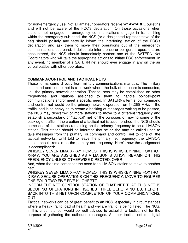for non-emergency use. Not all amateur operators receive W1AW/ARRL bulletins and will not be aware of the FCC's declaration. On those occasions when stations not engaged in emergency communications engage in transmitting within the emergency sub-band, the NCS (or a designated representative of the net) should politely and tactfully inform the interfering station of the FCC's declaration and ask them to move their operations out of the emergency communications sub-band. If deliberate interference or belligerent operators are encountered, the NCS should immediately contact one of the SATERN Net Coordinators who will take the appropriate actions to initiate FCC enforcement. In any event, no member of a SATERN net should ever engage in any on the air verbal battles with other operators.

#### **COMMAND/CONTROL AND TACTICAL NETS**

These terms come directly from military communications manuals. The military command and control net is a network where the bulk of business is conducted, i.e., the primary network operation. Tactical nets may be established on other frequencies and stations assigned to them to handle point-to-point communications and/or meet a specific need. In SATERN's terms, our command and control net would be the primary network operation on 14.265 MHz. If the traffic load is so heavy as to create a backlog of messages waiting to be passed, the NCS may direct two or more stations to move to a different frequency and establish a secondary, or "tactical" net for the purposes of moving some of the backlog of traffic. If the creation of a tactical net is accomplished, the NCS should name one of the stations remaining on the primary frequency to be a LIAISON station. This station should be informed that he or she may be called upon to take messages from the primary, or command and control, net to (one of) the tactical networks. Until told to leave the primary net frequency, the LIAISON station should remain on the primary net frequency. Here's how the assignment is accomplished:

WHISKEY SEVEN LIMA X-RAY ROMEO, THIS IS WHISKEY NINE FOXTROT X-RAY. YOU ARE ASSIGNED AS A LIAISON STATION. REMAIN ON THIS FREQUENCY UNLESS OTHERWISE DIRECTED. OVER

And, when the time comes for the need for a LIAISON station to move to another net:

WHISKEY SEVEN LIMA X-RAY ROMEO, THIS IS WHISKEY NINE FOXTROT X-RAY. SECURE OPERATIONS ON THIS FREQUENCY. MOVE TO FIGURES ONE FOUR TWO FIVE FIVE KILOHERTZ.

INFORM THE NET CONTROL STATION OF THAT NET THAT THIS NET IS SECURING OPERATIONS IN FIGURES THREE ZERO MINUTES. REPORT BACK INTO THIS NET UPON COMPLETION OF YOUR COMMUNICATIONS. OUT

Tactical networks can be of great benefit to an NCS, especially in circumstances where a heavy traffic load of health and welfare traffic is being listed. The NCS, in this circumstance, would be well advised to establish a tactical net for the purpose of gathering the outbound messages. Another tactical net (or digital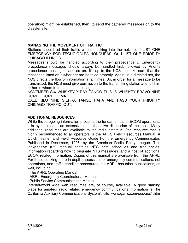operation) might be established, then, to send the gathered messages on to the disaster site.

#### **MANAGING THE MOVEMENT OF TRAFFIC**

Stations should list their traffic when checking into the net, i.e., I LIST ONE EMERGENCY FOR TEGUCIGALPA HONDURAS. Or, I LIST ONE PRIORITY CHICAGO ILLINOIS.

Messages should be handled according to their precedence B Emergency precedence messages should always be handled first, followed by Priority precedence messages, and so on. It's up to the NCS to make sure that the messages listed on his/her net are handled properly. Again, in a directed net, the NCS directs the flow of information at all times. So, in order for a message to be transmitted, the NCS must give permission to the transmitting station and tell him or her to whom to transmit the message:

NOVEMBER SIX WHISKEY X-RAY TANGO THIS IS WHISKEY BRAVO NINE ROMEO ROMEO LIMA.

CALL KILO NINE SIERRA TANGO PAPA AND PASS YOUR PRIORITY CHICAGO TRAFFIC. OUT.

#### **ADDITIONAL RESOURCES**

While the foregoing information presents the fundamentals of ECOM operations, it is by no means an extensive nor exhaustive discussion of the topic. Many additional resources are available to the radio amateur. One resource that is highly recommended to all operators is the ARES Field Resources Manual, A Quick Trainer and Field Resource Guide For the Emergency Communicator. Published in December, 1995, by the American Radio Relay League. This inexpensive (\$5) manual contains NTS nets schedules and frequencies, information regarding how to originate NTS messages, and a host of additional ECOM related information. Copies of this manual are available from the ARRL. For those seeking more in depth discussions of emergency communications, net operations, and traffic handling procedures, the ARRL has other publications, as well, including:

#### The ARRL Operating Manual

ARRL Emergency Coordinator=s Manual

Public Service Communications Manual

Internet/world wide web resources are, of course, available. A good starting place for amateur radio related emergency communications information is The California Auxiliary Communications System's site: www.garlic.com/oes/acs1.htm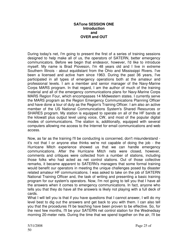#### **SATone SESSION ONE Introduction and OVER and OUT**

During today's net, I'm going to present the first of a series of training sessions designed to help make all of us, the operators of SATERN, better emergency communicators. Before we begin that endeavor, however, I'd like to introduce myself. My name is Brad Pioveson, I'm 48 years old and I live in extreme Southern Illinois - about equidistant from the Ohio and Mississippi Rivers. I've been a licensed and active ham since 1963. During the past 36 years, I've participated in all types of emergency operations both at the amateur and professional levels. I am a member and senior manager of the Navy-Marine Corps MARS program. In that regard, I am the author of much of the training material and all of the emergency communications plans for Navy-Marine Corps MARS Region Four, which encompasses 14 Midwestern states. I currently serve the MARS program as the Region Emergency Communications Planning Officer and have done a tour of duty as the Region's Training Officer. I am also an active member of the US National Communications System's Shared Resources or SHARES program. My station is equipped to operate on all of the HF bands at the kilowatt plus output level using voice, CW, and most of the popular digital modes of communications. The station is, additionally, equipped with several computers allowing me access to the Internet for email communications and web access.

Now, as far as the training I'll be conducting is concerned, don't misunderstand it's not that I or anyone else thinks we're not capable of doing the job - the Hurricane Mitch experience showed us that we can handle emergency communications. After the Hurricane Mitch nets were closed, however, comments and critiques were collected from a number of stations, including those folks who had acted as net control stations. Out of those collective remarks, it became apparent to SATERN's managers that some formal training would benefit our operators in meeting the unique challenges posed by disaster related amateur HF communications. I was asked to take on the job of SATERN National Training Officer and, the task of writing and presenting a basic training program for our system's operators. Now, I'm not going to tell you that I have all the answers when it comes to emergency communications. In fact, anyone who tells you that they do have all the answers is likely not playing with a full deck of cards.

What I will tell you is that if you have questions that I cannot answer, I will do my level best to dig out the answers and get back to you with them. I can also tell you that the procedures I'll be teaching have been proven to be effective. So, for the next few months, I'll be your SATERN net control station for the Wednedsay morning 20-meter nets. During the time that we spend together on the air, I'll be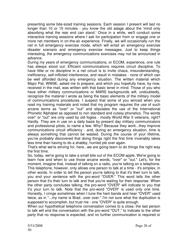presenting some bite-sized training sessions. Each session I present will last no longer than 10 or 15 minutes - you know the old adage about the 'mind only absorbing what the rear end can stand.' Once in a while, we'll conduct some interactive training sessions where I ask for participation from or engage one or more net members in on-the-air experience. Finally, we will occasionally run the net in full emergency exercise mode, which will entail an emergency exercise disaster scenario and emergency exercise messages. Just to keep things interesting, the emergency communications exercises may not be announced in advance.

During my years of emergency communications, or ECOM, experience, one rule has always stood out: Efficient communications requires circuit discipline. To have little or no discipline in a net circuit is to invite chaos, misunderstanding, inefficiency, self-inflicted interference, and result in mistakes - none of which can be well afforded during any emergency situation. The written material which Major Pat, WW9E, asked me to prepare, and which you hopefully have, by now, received in the mail, was written with that basic tenet in mind. Those of you who have either military communications or MARS backgrounds will, undoubtedly, recognize the material I wrote as being the basic elements of the military model of communications procedures. I suspect that some of you winced when you read my training materials and noted that my program requires the use of such arcane terms as "over" or "out" and stipulates the use of the International Phonetic Alphabet as opposed to non standard and cutesy phonetics. The words over" or "out" are only used by old fogies - mostly World War II veterans, right? Hardly. They are in use on a daily basis by present day military communicators and professional pilots, to name a few. Why? Because they work...they improve communications circuit efficiency - and, during an emergency situation, time is always something that cannot be wasted. During the course of your lifetime, you've probably discovered that doing things right the first time invariably takes less time than having to do a shabby, hurried job over again.

That's what we're striving for, here...we are going learn to do things the right way the first time.

So, today, we're going to take a small bite out of the ECOM apple. We're going to learn how and when to use those arcane words, "over" or "out." Let's, for the moment, imagine that, instead of talking on a radio, you're talking on a telephone. This telephone, however, only allows one person to talk at a time - it's simplex, in other words. In order to tell the person you're talking to that it's their turn to talk, you end your sentence with the pro-word "OVER." This word tells the other person that it's their turn to talk and that you're waiting for their response. When the other party concludes talking, the pro-word "OVER" will indicate to you that it's your turn to talk. Note that the pro-word "OVER" is used only one time. Honestly, I cringe sometimes when I tune the ham bands and hear "OVER" used twice, as in "...my name is Brad...over over." I'm not sure what the duplication is supposed to accomplish, but trust me - one "OVER" is quite enough.

When our hypothetical telephone conversation comes to a close, the last person to talk will end the conversation with the pro-word "OUT," to indicate to the other party that no response is expected, and no further communication is required or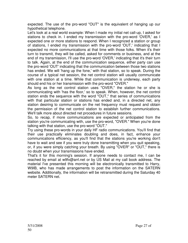expected. The use of the pro-word "OUT" is the equivalent of hanging up our hypothetical telephone.

Let's look at a real world example: When I made my initial net call-up, I asked for stations to check in. I ended my transmission with the pro-word 'OVER,' as I expected one or more stations to respond. When I recognized a station or group of stations, I ended my transmission with the pro-word 'OUT,' indicating that I expected no more communications at that time with those folks. When it's their turn to transmit, they will be called, asked for comments or business, and at the end of my transmission, I'll use the pro-word 'OVER,' indicating that it's their turn to talk. Again, at the end of the communication sequence, either party can use the pro-word 'OUT' indicating that the communication between those two stations has ended. We will 'hang up the fone,' with that station, so to speak. During the course of a typical net session, the net control station will usually communicate with one station at a time. While that communication is underway, each party should end his or her transmission with the pro-word "OVER."

As long as the net control station uses "OVER," the station he or she is communicating with 'has the floor,' so to speak. When, however, the net control station ends the sequence with the word "OUT," that series of communications with that particular station or stations has ended and, in a directed net, any station desiring to communicate on the net frequency must request and obtain the permission of the net control station to establish further communications. We'll talk more about directed net procedures in future sessions.

So, to recap, if more communications are expected or anticipated from the station you're communicating with, use the pro-word, "OVER." When you're done talking with that station, use the pro-word "OUT."

Try using these pro-words in your daily HF radio communications. You'll find that their use practically eliminates doubling and does, in fact, enhance your communications efficiency, as you'll find that the stations you're working don't have to wait and see if you were truly done transmitting when you quit speaking, or, if you were simply catching your breath. By using "OVER" or "OUT," there is no doubt when your transmissions have ended.

That's it for this morning's session. If anyone needs to contact me, I can be reached by email at w9fx@arrl.net or by US Mail at my call book address. The material I've presented this morning will be electronically transmitted to Harry, W9IB, who has made arrangements to post the information on the SATERN website. Additionally, the information will be retransmitted during the Saturday 40 meter SATERN net.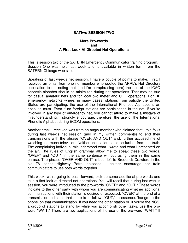#### **SATtwo SESSION TWO**

#### **More Pro-words and A First Look At Directed Net Operations**

This is session two of the SATERN Emergency Communicator training program. Session One was held last week and is available in written form from the SATERN Chicago web site.

Speaking of last week's net session, I have a couple of points to make. First, I received an email from one net member who quoted the ARRL's Net Directory publication to me noting that (and I'm paraphrasing here) the use of the ICAO phonetic alphabet should be minimized during net operations. That may be true for casual amateur nets and for local two meter and UHF operations. For HF emergency networks where, in many cases, stations from outside the United States are participating, the use of the International Phonetic Alphabet is an absolute must. Even if no foreign stations are participating in the net, if you're involved in any type of emergency net, you cannot afford to make a mistake of misunderstanding. I strongly encourage, therefore, the use of the International Phonetic Alphabet during ECOM operations.

Another email I received was from an angry member who claimed that I told folks during last week's net session (and in my written comments) to end their transmissions with the phrase "OVER AND OUT" and, further accused me of watching too much television. Neither accusation could be further from the truth. The complaining individual misunderstood what I wrote and what I presented on the air. The rules of English grammar allow me to speak these two words, "OVER" and "OUT" in the same sentence without using them in the same phrase. The phrase "OVER AND OUT" is best left to Broderick Crawford in the old TV series Highway Patrol episodes. I neither encourage nor train communicators to use both words together.

This week, we're going to push forward, pick up some additional pro-words and take a first look at directed net operations. You will recall that during last week's session, you were introduced to the pro-words "OVER" and "OUT." These words indicate to the other party with whom you are communicating whether additional communications with their station is desired or expected. "OVER" at the end of a transmission indicates that more is to follow. "OUT," in essence, 'hangs up the phone' on that communication. If you need the other station or, if you're the NCS, a group of stations to stand by while you accomplish other tasks, use the proword "WAIT." There are two applications of the use of the pro-word "WAIT." If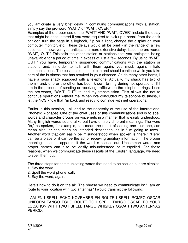you anticipate a very brief delay in continuing communications with a station, simply say the pro-word "WAIT," or "WAIT, OVER."

Examples of the proper use of the "WAIT" AND "WAIT, OVER" include the delay that might be encountered if you were required to pick up a pencil from the desk or floor, turn the page in a logbook, flip on a light, change the display on your computer monitor, etc. These delays would all be brief - in the range of a few seconds. If, however, you anticipate a more extensive delay, issue the pro-words "WAIT, OUT." This tells the other station or stations that you anticipate being unavailable for a period of time in excess of just a few seconds. By using "WAIT, OUT," you have, temporarily suspended communications with the station or stations and, in order to talk with them again, you must, again, initiate communications. The business of the net can and should continue while you take care of the business that has resulted in your absence. As do many other hams, I have a radio shack equipped with a telephone. Actually, my shack has two of them - and, one or the other has been known to ring during net operations. If I am in the process of sending or receiving traffic when the telephone rings, I use the pro-words, "WAIT, OUT" to end my transmission. This allows the net to continue operations without me. When I've concluded my telephone business, I let the NCS know that I'm back and ready to continue with net operations.

Earlier in this session, I alluded to the necessity of the use of the International Phonetic Alphabet. One of the chief uses of this communications tool is to spell words and character groups on voice nets in a manner that is easily understood. Many English words sound alike but have entirely different meanings. The word "to," as spoken, for example, can mean the result of adding one plus one, can mean also, or can mean an intended destination, as in "I'm going to town." Another word that can easily be misunderstood when spoken is "here." "Here" can be a place or it can be the act of receiving auditory information. The proper meaning becomes apparent if the word is spelled out. Uncommon words and proper names can also be easily misunderstood or misspelled. For those reasons, when we communicate these rascals of the English language, we need to spell them out.

The three steps for communicating words that need to be spelled out are simple:

- 1. Say the word.
- 2. Spell the word phonetically.
- 3. Say the word, again.

Here's how to do it on the air. The phrase we need to communicate is: "I am en route to your location with two antennas" I would transmit the following:

I AM EN I SPELL ECHO NOVEMBER EN ROUTE I SPELL ROMEO OSCAR UNIFORM TANGO ECHO ROUTE TO I SPELL TANGO OSCAR TO YOUR LOCATION WITH TWO I SPELL TANGO WHISKEY OSCAR TWO ANTENNAS PERIOD.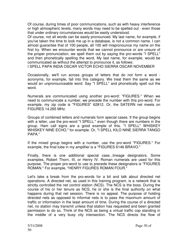Of course, during times of poor communications, such as with heavy interference or high atmospheric levels, many words may need to be spelled out - even those that under ordinary circumstances would be easily understood.

Of course, not all words can be easily pronounced. My last name, for example, if you've taken the time to look me up in a database, is not a common name. I can almost guarantee that of 100 people, all 100 will mispronounce my name on the first try. When we encounter words that we cannot pronounce or are unsure of the proper pronunciation, we spell them out by saying the pro-words "I SPELL" and then phonetically spelling the word. My last name, for example, would be communicated as without the attempt to pronounce it, as follows:

I SPELL PAPA INDIA OSCAR VICTOR ECHO SIERRA OSCAR NOVEMBER

Occasionally, we'll run across groups of letters that do not form a word acronyms, for example, fall into this category. We treat them the same as we would an unpronounceable word. Say "I SPELL" and phonetically spell out the word.

Numerals are communicated using another pro-word: "FIGURES." When we need to communicate a number, we precede the number with this pro-word. For example, my zip code is "FIGURES" 62812. Or, the SATERN net meets on FIGURES 14.265 MHz.

Groups of combined letters and numerals form special cases. If the group begins with a letter, use the pro-word "I SPELL." even though there are numbers in the group. Ham call signs are a good example of this. "I SPELL" WHISKEY WHISKEY NINE ECHO," for example. Or, "I SPELL KILO NINE SIERRA TANGO PAPA."

If the mixed group begins with a number, use the pro-word "FIGURES." For example, the final tube in my amplifier is a "FIGURES 6146 BRAVO."

Finally, there is one additional special case...lineage designators. Some examples, Robert Thorn, III, or Henry IV. Roman numerals are used for this purpose. The proper pro-word to use to precede these designators is "FIGURES ROMAN." For example, "HENRY FIGURES ROMAN FOUR."

Let's take a break from the pro-words for a bit and talk about directed net operations. A directed net, as used in this training program, is a network that is strictly controlled the net control station (NCS). The NCS is the boss. During the course of his or her tenure as NCS, he or she is the final authority on what happens during that net session. There is no appeal. The purpose of holding directed nets as opposed to informal nets is to pass the maximum amount of traffic or information in the least amount of time. During the course of a directed net, no station may transmit unless that station has requested and been granted permission to do so. Think of the NCS as being a virtual traffic cop standing in the middle of a very busy city intersection. The NCS directs the flow of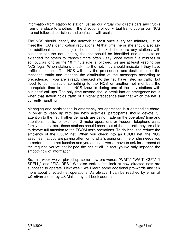information from station to station just as our virtual cop directs cars and trucks from one place to another. If the directions of our virtual traffic cop or our NCS are not followed, collisions and confusion will result.

The NCS should identify the network at least once every ten minutes, just to meet the FCC's identification regulations. At that time, he or she should also ask for additional stations to join the net and ask if there are any stations with business for the net. Ideally, the net should be identified and an invitation extended for others to transmit more often - say, once every five minutes or so...but, as long as the 10 minute rule is followed, we are at least keeping our NCS legal. When stations check into the net, they should indicate if they have traffic for the net. The NCS will copy the precedence and destinations of the message traffic and manage the distribution of the messages according to precedence. If you are already checked into the net, have listed no traffic, but need to communicate something to the NCS or another net member, the appropriate time to let the NCS know is during one of the 'any stations with business' call-ups. The only time anyone should break into an emergency net is when that station holds traffic of a higher precedence than that which the net is currently handling.

Managing and participating in emergency net operations is a demanding chore. In order to keep up with the net's activities, participants should devote full attention to the net. If other demands are being made on the operators' time and attention, that is, for example, 2 meter operations or frequent telephone calls, family matters, etc., those stations should check out of the net until they are able to devote full attention to the ECOM net's operations. To do less is to reduce the efficiency of the ECOM net. When you check into an ECOM net, the NCS assumes that you are paying attention to what's going on. If he or she needs you to perform some net function and you don't answer or have to ask for a repeat of the request, you've not helped the net at all. In fact, you've only impeded the smooth flow of information.

So, this week we've picked up some new pro-words: "WAIT," "WAIT, OUT," "I SPELL," and "FIGURES." We also took a first look at how directed nets are supposed to operate. Next week, we'll learn some additional pro-words and talk more about directed net operations. As always, I can be reached by email at w9fx@arrl.net or by US Mail at my call book address.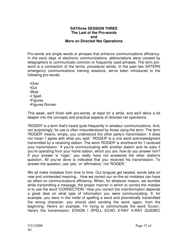#### **SATthree SESSION THREE The Last of the Pro-words and More on Directed Net Operations**

Pro-words are single words or phrases that enhance communications efficiency. In the early days of electronic communications, abbreviations were created by telegraphers to communicate common or frequently used phrases. The term proword is a contraction of the terms: procedural words. In the past two SATERN emergency communications training sessions, we've been introduced to the following pro-words:

- •Over
- •Out
- •Wait
- •I Spell
- •Figures
- •Figures Roman

This week, we'll finish with pro-words, at least for a while, and we'll delve a bit deeper into the concepts and practical aspects of directed net operations.

'ROGER' is a term that's heard quite frequently in amateur communications. And, not surprisingly, its use is often misunderstood by those using the term. The term 'ROGER' means, simply, you understood the other party's transmission. It does not mean 'I agree with what you said.' 'ROGER' is a one word acknowledgment transmitted by a receiving station. The word 'ROGER' is shorthand for 'I received your transmission.' If you're communicating with another station and he asks if you're operating from your home station, which you are, how do you answer him? If your answer is 'roger,' you really have not answered the other station's question. All you've done is indicated that you received his transmission. To answer the question, use 'yes,' or 'affirmative,' not 'ROGER.'

We all make mistakes from time to time. Out tongues get twisted, words take on new and unintended meaning... How we correct our on-the-air mistakes can have an effect on communications efficiency. When, for whatever reason, we stumble while transmitting a message, the proper manner in which to correct the mistake is to use the word 'CORRECTION.' How you correct the misinformation depends a great deal on what type of information you were communicating. If, for example, you were in the midst of spelling a word and phonetically transmitted the wrong character, you should start sending the word, again, from the beginning. Here's an example. I'm trying to communicate the word 'Exxon.' Here's the transmission: EXXON I SPELL ECHO X-RAY X-RAY QUEBEC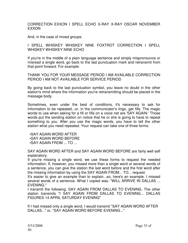CORRECTION EXXON I SPELL ECHO X-RAY X-RAY OSCAR NOVEMBER EXXON

And, in the case of mixed groups:

#### I SPELL WHISKEY WHISKEY NINE FOXTROT CORRECTION I SPELL WHISKEY WHISKEY NINE ECHO

If you're in the middle of a plain language sentence and simply mispronounce or misread a single word, go back to the last punctuation mark and retransmit from that point forward. For example:

THANK YOU FOR YOUR MESSAGE PERIOD I AM AVAILABLE CORRECTION PERIOD I AM NOT AVAILABLE FOR SERVICE PERIOD

By going back to the last punctuation symbol, you leave no doubt in the other station's mind where the information you're retransmitting should be placed in the message body.

Sometimes, even under the best of conditions, it's necessary to ask for information to be repeated...or, in the communicator's lingo, get fills. The magic words to use when asking for a fill or fills on a voice net are 'SAY AGAIN.' Those words put the sending station on notice that he or she is going to have to repeat something to you. After you use the magic words, you have to tell the other station what you need repeated. Your request can take one of three forms:

•SAY AGAIN WORD AFTER

•SAY AGAIN WORD BEFORE

•SAY AGAIN FROM ... TO ...

SAY AGAIN WORD AFTER and SAY AGAIN WORD BEFORE are fairly well self explanatory.

If you're missing a single word, we use these forms to request the needed information. If, however, you missed more than a single word or several words of a sentence, you can give the station the last word before and the first word after the missing information by using the SAY AGAIN FROM... TO... request.

It's easier to give an example than to explain...so, here's an example. I missed several words of a sentence. What I copied was: "WILL ARRIVE IN DALLAS ... EVENING."

I transmit the following: SAY AGAIN FROM DALLAS TO EVENING. The other station transmits "I SAY AGAIN FROM DALLAS TO EVENING... DALLAS FIGURES 14 APRIL SATURDAY EVENING"

If I had missed only a single word, I would transmit "SAY AGAIN WORD AFTER DALLAS..." or, "SAY AGAIN WORD BEFORE EVENING..."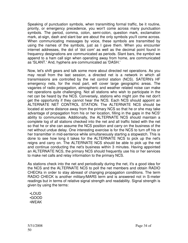Speaking of punctuation symbols, when transmitting formal traffic, be it routine, priority, or emergency precedence, you won't come across many punctuation symbols. The period, comma, colon, semi-colon, question mark, exclamation mark, at-sign, dash and slant bar are about the only symbols you'll come across. When communicating messages by voice, these symbols are transmitted by using the names of the symbols, just as I gave them. When you encounter internet addresses, the dot of 'dot com' as well as the decimal point found in frequency designations are communicated as periods. Slant bars, the symbol we append to a ham call sign when operating away from home, are communicated as 'SLANT.' And, hyphens are communicated as 'DASH.'

Now, let's shift gears and talk some more about directed net operations. As you may recall from the last session, a directed net is a network in which all transmissions are controlled by the net control station (NCS). SATERN's HF emergency nets, for the most part, will cover large geographic areas. The vagaries of radio propagation, atmospheric and weather related noise can make net operations quite challenging. Not all stations who wish to participate in the net can be heard by the NCS. Conversely, stations who might join the net don't get the opportunity if they cannot hear the NCS. Each NCS should appoint an ALTERNATE NET CONTROL STATION. The ALTERNATE NCS should be located at some distance away from the primary NCS so that he or she may take advantage of propagation from his or her location, filling in the gaps in the NCS' ability to communicate. Additionally, the ALTERNATE NCS should maintain a complete log of all stations checked into the net and all traffic listed with the net so that he or she can assume the NCS position and carry on the business of the net without undue delay. One interesting exercise is for the NCS to turn off his or her transmitter in mid-sentence while simultaneously starting a stopwatch. This is done to see how long it takes for the ALTERNATE NCS to pick up the net's reigns and carry on. The ALTERNATE NCS should be able to pick up the net and continue conducting the net's business within 3 minutes. Having appointed an ALTERNATE NCS, the primary NCS should frequently use his or her services to make net calls and relay information to the primary NCS.

As stations check into the net and periodically during the net, it's a good idea for the NCS and the ALTERNATE NCS to poll the net members and obtain RADIO CHECKs in order to stay abreast of changing propagation conditions. The term RADIO CHECK is another military/MARS term and is answered not in S-meter readings but in terms of relative signal strength and readability. Signal strength is given by using the terms:

 •LOUD •GOOD •WEAK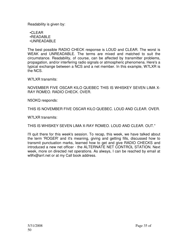Readability is given by:

 •CLEAR •READABLE •UNREADABLE

The best possible RADIO CHECK response is LOUD and CLEAR. The worst is WEAK and UNREADABLE. The terms are mixed and matched to suit the circumstance. Readability, of course, can be affected by transmitter problems, propagation, and/or interfering radio signals or atmospheric phenomena. Here's a typical exchange between a NCS and a net member. In this example, W7LXR is the NCS.

W7LXR transmits:

NOVEMBER FIVE OSCAR KILO QUEBEC THIS IS WHISKEY SEVEN LIMA X-RAY ROMEO. RADIO CHECK. OVER.

N5OKQ responds:

THIS IS NOVEMBER FIVE OSCAR KILO QUEBEC. LOUD AND CLEAR. OVER.

W7LXR transmits:

THIS IS WHISKEY SEVEN LIMA X-RAY ROMEO. LOUD AND CLEAR. OUT."

I'll quit there for this week's session. To recap, this week, we have talked about the term 'ROGER' and it's meaning, giving and getting fills, discussed how to transmit punctuation marks, learned how to get and give RADIO CHECKS and introduced a new net officer - the ALTERNATE NET CONTROL STATION. Next week, more on directed net operations. As always, I can be reached by email at w9fx@arrl.net or at my Call book address.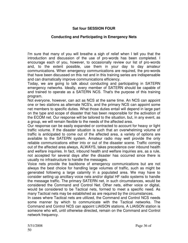## **Sat four SESSION FOUR**

#### **Conducting and Participating in Emergency Nets**

I'm sure that many of you will breathe a sigh of relief when I tell you that the introduction and discussion of the use of pro-words has been completed. I encourage each of you, however, to occasionally review our list of pro-words and, to the extent possible, use them in your day to day amateur communications. When emergency communications are required, the pro-words that have been discussed on this net and in this training series are indispensable and can dramatically improve communications efficiency.

Today, we are going to talk about conducting and participating in SATERN emergency networks. Ideally, every member of SATERN should be capable of and trained to operate as a SATERN NCS. That's the purpose of this training program.

Not everyone, however, can act as NCS at the same time. An NCS can appoint one or two stations as alternate NCS's, and the primary NCS can appoint some net members to specific duties. What those duties entail will depend in large part on the type and scope of disaster that has been responsible for the activation of the ECOM net. Our response will be tailored to the situation, but, in any event, as a group, we will remain flexible to the needs of the affected area.

Our response can be easily expanded or contracted to account for heavy or light traffic volume. If the disaster situation is such that an overwhelming volume of traffic is anticipated to come out of the affected area, a variety of options are available to the SATERN system. Amateur radio may well provide the only reliable communications either into or out of the disaster scene. Traffic coming out of the affected area always, ALWAYS, takes precedence over inbound health and welfare inquiries. In fact, inbound health and welfare inquiries are, as a rule, not accepted for several days after the disaster has occurred since there is usually no infrastructure to handle the messages.

Voice nets provide the backbone of emergency communications but are not always the best choice for handling large volumes of traffic, such as might be generated following a large calamity in a populated area. We may have to consider setting up ancillary voice nets and/or digital HF radio systems to handle the message traffic. The primary SATERN net, in such circumstances, would be considered the Command and Control Net. Other nets, either voice or digital, would be considered to be Tactical nets, formed to meet a specific need. As many Tactical nets may be established as are required by the circumstances.

In cases where Tactical nets are utilized, the Command and Control NCS needs some manner by which to communicate with the Tactical networks. The Command and Control NCS can appoint LIAISON stations. A LIAISON station is someone who will, until otherwise directed, remain on the Command and Control network frequency.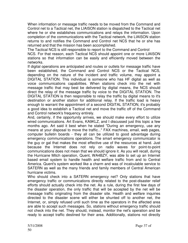When information or message traffic needs to be moved from the Command and Control net to a Tactical net, the LIAISON station is dispatched to the Tactical net where he or she establishes communications and relays the information. Upon completion of the communications with the Tactical network, the LIAISON station returns to and notifies the Command and Control net NCS that he or she has returned and that the mission has been accomplished.

The Tactical NCS is still responsible to report to the Command and Control

NCS. For that reason, each Tactical NCS should appoint one or more LIAISON stations so that information can be easily and efficiently moved between the networks.

If digital operations are anticipated and routes or outlets for message traffic have been established, the Command and Control NCS or the Tactical NCS, depending on the nature of the incident and traffic volume, may appoint a DIGITAL STATION. This individual is someone who has HF digital as well as voice communications capabilities. When stations check into the net with message traffic that may best be delivered by digital means, the NCS should direct the relay of the message traffic by voice to the DIGITAL STATION. The DIGITAL STATION is then responsible to relay the traffic by digital means to it's destination or another station for additional relay. If the traffic load is heavy enough to warrant the appointment of a second DIGITAL STATION, it's probably a good idea to establish a Tactical net and move the traffic off of the Command and Control network's frequency entirely.

And, certainly, if the opportunity arrives, we should make every effort to utilize wired communications. Art Evans, KA9KLZ, and I discussed just this topic a few months ago. Art said it best when he stated "During an emergency, use any means at your disposal to move the traffic..." FAX machines, email, web pages, computer bulletin boards - they all can be utilized to good advantage during emergency communications operations. The smart emergency communicator is the guy or gal that makes the most effective use of the resources at hand. Just because the Internet does not rely on radio waves for point-to-point communications does not mean that we should ignore it. As you will recall, during the Hurricane Mitch operation, Quent, WA4BZY, was able to set up an Internet based email system to handle health and welfare traffic from and to Central America. Quent's system worked like a charm and was of incalculable service to SATERN as well as the many friends and family members of Central American hurricane victims.

Who should check into a SATERN emergency net? Only stations that have emergency traffic or communications directly related to the post-disaster relief efforts should actually check into the net. As a rule, during the first few days of the disaster operation, the only traffic that will be accepted by the net will be message traffic originating from the disaster site. Health and welfare inquiries directed to the disaster scene will either be shunted off to another net, the Internet, or, simply refused until such time as the operators in the affected area are able to accept such messages. So, stations without emergency traffic should not check into the net. They should, instead, monitor the net's operation and be ready to accept traffic destined for their area. Additionally, stations not directly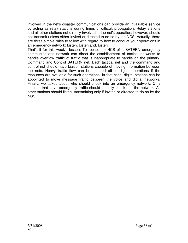involved in the net's disaster communications can provide an invaluable service by acting as relay stations during times of difficult propagation. Relay stations and all other stations not directly involved in the net's operation, however, should not transmit unless either invited or directed to do so by the NCS. Actually, there are three simple rules to follow with regard to how to conduct your operations in an emergency network: Listen, Listen and, Listen.

That's it for this week's lesson. To recap, the NCS of a SATERN emergency communications network can direct the establishment of tactical networks to handle overflow traffic of traffic that is inappropriate to handle on the primary, Command and Control SATERN net. Each tactical net and the command and control net should have Liaison stations capable of moving information between the nets. Heavy traffic flow can be shunted off to digital operations if the resources are available for such operations. In that case, digital stations can be appointed to move message traffic between the voice and digital networks. Finally, we talked about who should check into an emergency network. Only stations that have emergency traffic should actually check into the network. All other stations should listen, transmitting only if invited or directed to do so by the NCS.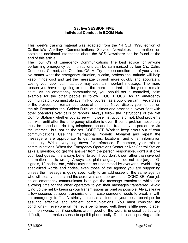#### **Sat five SESSION FIVE Individual Conduct in ECOM Nets**

This week's training material was adapted from the 14 SEP 1998 edition of California's Auxiliary Communications Service Newsletter. Information on obtaining additional information about the ACS Newsletter can be found at the end of this article.

The Four C's of Emergency Communications The best advice for anyone performing emergency communications can be summarized by four C's: Calm, Courteous, Correct, and Concise. CALM. Try to keep emotion out of your voice. No matter what the emergency situation, a calm, professional attitude will help keep things cool and get the message through more quickly and accurately. Losing your cool, calm attitude may cost an important message. The more reason you have for getting excited, the more important it is for you to remain calm. As an emergency communicator, you should set a controlled, calm example for the other people to follow. COURTEOUS. As an emergency communicator, you must always think of yourself as a public servant. Regardless of the provocation, remain courteous at all times. Never display your temper on the air. Remember the "Golden Rule" at all times and practice it. Never fight with other operators over calls or reports. Always follow the instructions of the Net Control Station - whether you agree with those instructions or not. Most problems can wait until after the emergency situation is over. If some problem absolutely must be ironed out, do it by telephone, on another frequency, in person, or via the Internet - but, not on the net. CORRECT. Work to keep errors out of your communications. Use the International Phonetic Alphabet and repeat the message where appropriate to get names, locations, and other information accurately. Write everything down for reference. Remember, your role is communications. When the Emergency Operations Center or Net Control Station asks a question, go get the answer from the person responsible, don't just give your best guess. It is always better to admit you don't know rather than give out information that is wrong. Always use plain language -- do not use jargon, Qsignals, 10-codes, etc., which may not be understood by everyone. Avoid using specialized words and codes, even those of the agency you are supporting unless the message is going specifically to an addressee of the same agency who will clearly understand the acronyms and abbreviations. CONCISE. Your job as an emergency communicator is to get the message transferred while also allowing time for the other operators to get their messages transferred. Avoid tying up the net by keeping your transmissions as brief as possible. Always leave a few seconds between transmissions in case someone needs to break in with an emergency traffic. A strictly business attitude is your best technique for assuring effective and efficient communications. You must consider the conditions - if everyone on the net is being heard well, there is little need to spell common words, but if conditions aren't good or the word is unusual particularly difficult, then it makes sense to spell it phonetically. Don't rush - speaking a little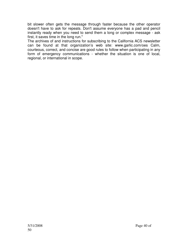bit slower often gets the message through faster because the other operator doesn't have to ask for repeats. Don't assume everyone has a pad and pencil instantly ready when you need to send them a long or complex message - ask first, it saves time in the long run."

The archives of and instructions for subscribing to the California ACS newsletter can be found at that organization's web site: www.garlic.com/oes Calm, courteous, correct, and concise are good rules to follow when participating in any form of emergency communications - whether the situation is one of local, regional, or international in scope.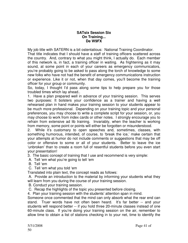#### **SATsix Session Six On Training... De W9FX**

My job title with SATERN is a bit ostentatious: National Training Coordinator. That title indicates that I should have a staff of training officers scattered across the country. And, contrary to what you might think, I actually do. Each member of this network is, in fact, a training officer in waiting. As frightening as it may sound, at some point in each of your careers as emergency communicators, you're probably going to be asked to pass along the torch of knowledge to some new folks who have not had the benefit of emergency communications instruction or experience. Like it or not, when that day comes, you'll become the training officer for your group or community.

So, today, I thought I'd pass along some tips to help prepare you for those troubled times which lay ahead..

1. Have a plan prepared well in advance of your training session. This serves two purposes: It bolsters your confidence as a trainer and having a well rehearsed plan in hand makes your training session to your students appear to be much more professional. Depending on your training topic and your personal preferences, you may choose to write a complete script for your session, or, you may choose to work from index cards or other notes. I strongly encourage you to refrain from extensive ad lib training. Invariably, when the teacher is working from memory, some point or points will either be forgotten or misunderstood.

2. While it's customary to open speeches and, sometimes, classes, with something humorous, intended, of course, to 'break the ice,' make certain that your attempts at humor do not include comments or suggestions that may be off color or offensive to some or all of your students. Better to leave the ice 'unbroken' than to create a room full of resentful students before you even start your presentation!

3. The basic concept of training that I use and recommend is very simple:

A. Tell 'em what you're going to tell 'em

B. Tell 'em

C. Tell 'em what you told 'em

Translated into plain text, the concept reads as follows:

 A. Provide an introduction to the material by informing your students what they will learn from you during the course of your training session.

B. Conduct your training session.

C. Recap the highlights of the topic you presented before closing.

4. Plan your training session with the students' attention span in mind.

Someone once commented that the mind can only absorb what the rear end can stand. Truer words have not often been heard. It's far better -- and your students will respond better -- if you hold three 20-minute classes instead of one 60-minute class. If you're doing your training session on the air, remember to allow time to obtain a list of stations checking in to your net, time to identify the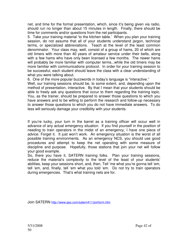net, and time for the formal presentation, which, since it's being given via radio, should run no longer than about 15 minutes in length. Finally, there should be time for comments and/or questions from the net participants.

5. Take your training material 'to the kitchen table.' When you plan your training session, do not assume that all of your students understand jargon, technical terms, or specialized abbreviations. Teach at the level of the least common denominator. Your class may, well, consist of a group of hams, 20 of which are old timers with more than 40 years of amateur service under their belts, along with a few hams who have only been licensed a few months. The newer hams will probably be more familiar with computer terms...while the old timers may be more familiar with communications protocol. In order for your training session to be successful, each student should leave the class with a clear understanding of what you were talking about.

6. One of the more popular buzzwords in today's language is "interactive."

Well, our training sessions should be, to some extent, and, depending upon the method of presentation, interactive. By that I mean that your students should be able to freely ask any questions that occur to them regarding the training topic. You, as the trainer, should be prepared to answer those questions to which you have answers and to be willing to perform the research and follow-up necessary to answer those questions to which you do not have immediate answers. To do less will seriously damage your credibility with your students.

If you're lucky, your turn in the barrel as a training officer will occur well in advance of any actual emergency situation. If you find yourself in the position of needing to train operators in the midst of an emergency, I have one piece of advice: Forget it. It just won't work. An emergency situation is the worst of all possible training environments. As an emergency NCS, you should use good procedures and attempt to keep the net operating with some measure of discipline and purpose. Hopefully, those stations that join your net will follow your good example.

So, there you have it, SATERN training folks. Plan your training sessions, reduce the material's complexity to the level of the least of your students' abilities, keep your sessions short, and, then, Tell 'me what you're gonna tell 'em, tell 'em, and, finally, tell 'em what you told 'em. Do not try to train operators during emergencies. That's what training nets are for.

Join SATERN http://www.qso.com/satern411/joinform.htm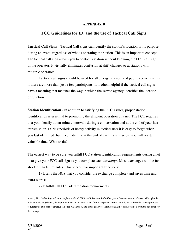#### **APPENDIX B**

#### **FCC Guidelines for ID, and the use of Tactical Call Signs**

**Tactical Call Signs** - Tactical Call signs can identify the station's location or its purpose during an event, regardless of who is operating the station. This is an important concept. The tactical call sign allows you to contact a station without knowing the FCC call sign of the operator. It virtually eliminates confusion at shift changes or at stations with multiple operators.

Tactical call signs should be used for all emergency nets and public service events if there are more than just a few participants. It is often helpful if the tactical call signs have a meaning that matches the way in which the served agency identifies the location or function.

**Station Identification** - In addition to satisfying the FCC's rules, proper station identification is essential to promoting the efficient operation of a net. The FCC requires that you identify at ten-minute intervals during a conversation and at the end of your last transmission. During periods of heavy activity in tactical nets it is easy to forget when you last identified, but if you identify at the end of each transmission, you will waste valuable time. What to do?

The easiest way to be sure you fulfill FCC station identification requirements during a net is to give your FCC call sign as you complete each *exchange*. Most exchanges will be far shorter than ten minutes. This serves two important functions:

1) It tells the NCS that you consider the exchange complete (and saves time and extra words)

2) It fulfills all FCC identification requirements

*note (1) Text in this Appendix is taken from AARL CCEP Level I Amateur Radio Emergency Communications Course*. Although this publication is copyrighted, the reproduction of this material is not for the purpose of resale, but only for ad-hoc educational purposes to further the purposes of amateur radio for which the ARRL is the endorses. Permission has not been obtained from the publisher for this excerpt..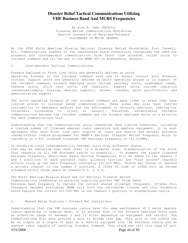#### **Disaster Relief Tactical Communications Utilizing VHF Business Band And MURS Frequencies**

By Alan R. Caho (KA3DYL) Disaster Relief Communications Ministries Baptist Convention of Maryland/Delaware SouthBEARS of MD/DE (W3MDB)

At the 2008 North American Mission National Disaster Relief Roundtable, Fort Caswell, NC), Communications leaders of the represented state conventions recognized the need for standard and interoperable communications from front line disaster relief units to incident command and all the way to the NAMB DOC in Alpharetta, Georgia.

#### 1. Interoperable Tactical Communications

Forward Deployed or Front Line units are generally defined as units operating forward of the incident command site and in direct contact with disaster victims. Support units are generally defined as units operating around or in support of the incident command. Forward Deployed units include recovery units, assessment teams, feeding units, child care units, and chaplains. Support units include logistics (warehouse/supply, housing, medical support), shower, laundry, water purification, and administrative support.

The units operating forward of the Incident Command are many times in areas that have limited access to cellular based communications. These areas may also have limited availability to emergency medical and law enforcement or security services, leaving our volunteers vulnerable to injury or assault. Therefore, establishing reliable communications between the incident command and the forward deployed units is a priority for each communications unit.

Understanding that the communications units themselves have limited resources, including a limited number of licensed amateur radio operators and amateur equipment, it is most advisable that each front line unit acquire at least one mobile and several portable (handy-talkie) radios programmed for NAMB's National Disaster Relief Frequency which is currently on a FCC licensed itinerant VHF Business frequency of 151.625MHz.

To establish total interoperability between units from different states that may be operating near each other in a disaster zone, standardization of the first four channels on all VHF business radios is essential. To augment the single licensed business frequency, Multi-User Radio Service frequencies will be added to the channel 3 and 4 positions of each portable radio allowing tactical and "talk around" channels without tying up our main frequency (currently 151.625 MHz). States may choose to operate a private channel in the number 2 position. A CTCSS PL code of 100Hz will be become standard within three years on channel's 1, 3, & 4.

The North American Mission Board and our National Disaster Relief Communications Leadership is pursuing acquiring another VHF (high band) Business Band frequency to replace the current shared itinerant frequency. If/when this frequency becomes available; NAMB will hold the nationwide license and this frequency would replace the current 151.625 MHz in the channel 1 position on standardized radios.

#### 2. Manned Relay Stations / Forward Net Controllers

Understanding that the VHF business radios have the same performance of 2 meter amateur radios operating in simplex mode, it is obvious that if our Forward Deployed Units have an effective range of between 3 and 15 miles depending on equipment and terrain. The Communications Unit must provide a unit to bridge that gap. This unit in the middle can be as simple as a couple of guys in a vehicle equipped with the business radios and an amateur radio capable of reaching Incident Command. Your state may call this type of unit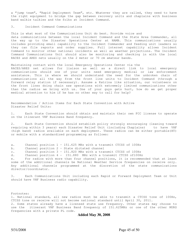a "jump team", "Rapid Deployment Team", etc. Whatever they are called, they need to have the right equipment to bridge the gap between recovery units and chaplains with business band walkie talkies and the folks at Incident Command.

#### 3. Incident Command Communications

This is what most of the Communications Unit do best. Provide voice and data communications between the local Incident Command and the State Area Commander, all the way up to the Disaster Operations Center at NAMB. This communications usually includes providing email capability to the Incident Commander and feeding unit leaders so they can file reports and order supplies. Full internet capability allows Incident Command to monitor other national incidents as well as weather projections. The Incident Command Communications Unit should also be monitoring and checking in with the local RACES and ARES nets usually on the 2 meter or 70 cm amateur bands.

Maintaining contact with the local Emergency Operations Center via the RACES/ARES net allows for liaison as well as a direct link to local emergency communications should one of your units need emergency medical or law enforcement assistance. This is where we should understand the need for the unbroken chain of communications all the way from the front line units to Incident Command (through a forward relay station if necessary). Assume a Katrina like situation, our volunteers on the front lines doing chain saw operations with extremely limited communications other than the radios we bring with us. One of your guys gets hurt, how do we get proper medical attention to him if he has no other way to call for help?

Recommendation / Action Items for Each State Convention with Active Disaster Relief Units:

1. Each State Convention should obtain and maintain their own FCC license to operate on the itinerant VHF Business Band frequency.

2. Each State Convention should establish policy strongly encouraging (leaning toward requiring within 3 years) each Disaster Relief Unit (including Chaplains) to have VHF (high band) radios available on each deployment. These radios can be either portable(HT) or mobile with a standardized programming as follows:

- a. Channel position 1 151.625 MHz with a transmit CTCSS of 100Hz
- b. Channel position 2 State dictated channel
- c. Channel position 3 151.820 MHz with a transmit CTCSS of 100Hz
- d. Channel position 4 151.880 MHz with a transmit CTCSS of100Hz

e. For radios with more than four channel positions, it is recommended that at least some of the additional channels be National Weather Service frequencies on receive only. Any additional channels programmed at the discretion of the state communications director/coordinator.

3. Each Communications Unit including each Rapid or Forward Deployment Team or Unit should have VHF Business radio capability.

Footnotes: 1. National standard, all new radios must be able to transmit a CTCSS tone of 100Hz, CTCSS tone on receive will not become national standard until April 30, 2011. 2. Some states already have a licensed state use frequency. Other states may choose to use the itinerant VHF Business Band frequency of 151.625MHz or one of the other MURS frequencies with a private PL code.

#### **Added May 30, 2008**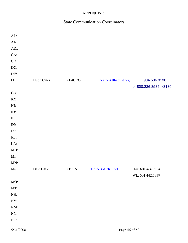## **APPENDIX C**

## State Communication Coordinators

| AL:       |             |        |                      |                         |
|-----------|-------------|--------|----------------------|-------------------------|
| AK:       |             |        |                      |                         |
| AR.       |             |        |                      |                         |
| CA:       |             |        |                      |                         |
| CO:       |             |        |                      |                         |
| DC:       |             |        |                      |                         |
| DE:       |             |        |                      |                         |
| FL:       | Hugh Cater  | KE4CRO | hcater@flbaptist.org | 904.596.3130            |
|           |             |        |                      | or 800.226.8584, x3130. |
| GA:       |             |        |                      |                         |
| KY:       |             |        |                      |                         |
| HI:       |             |        |                      |                         |
| ID:       |             |        |                      |                         |
| IL:       |             |        |                      |                         |
| IN:       |             |        |                      |                         |
| IA:       |             |        |                      |                         |
| KS:       |             |        |                      |                         |
| LA:       |             |        |                      |                         |
| MD:       |             |        |                      |                         |
| MI:       |             |        |                      |                         |
| MN:       |             |        |                      |                         |
| MS:       | Dale Little | KB5JN  | KB5JN@ARRL.net       | Hm: 601.466.7884        |
|           |             |        |                      | Wk: 601.442.5339        |
| MO:       |             |        |                      |                         |
| $MT$ .:   |             |        |                      |                         |
| NE:       |             |        |                      |                         |
| NV:       |             |        |                      |                         |
| NM:       |             |        |                      |                         |
| NY:       |             |        |                      |                         |
| NC:       |             |        |                      |                         |
| 5/31/2008 |             |        | Page 46 of 50        |                         |
|           |             |        |                      |                         |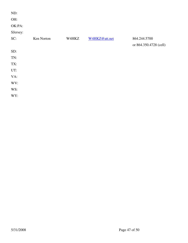| ND:      |            |       |               |                        |
|----------|------------|-------|---------------|------------------------|
| OH:      |            |       |               |                        |
| OK:PA:   |            |       |               |                        |
| SJersey: |            |       |               |                        |
| SC:      | Ken Norton | W4HKZ | W4HKZ@att.net | 864.244.5700           |
|          |            |       |               | or 864.350.4728 (cell) |
| SD:      |            |       |               |                        |
| TN:      |            |       |               |                        |
| TX:      |            |       |               |                        |
| UT:      |            |       |               |                        |
| VA:      |            |       |               |                        |
| WV:      |            |       |               |                        |
| WS:      |            |       |               |                        |
| WY:      |            |       |               |                        |